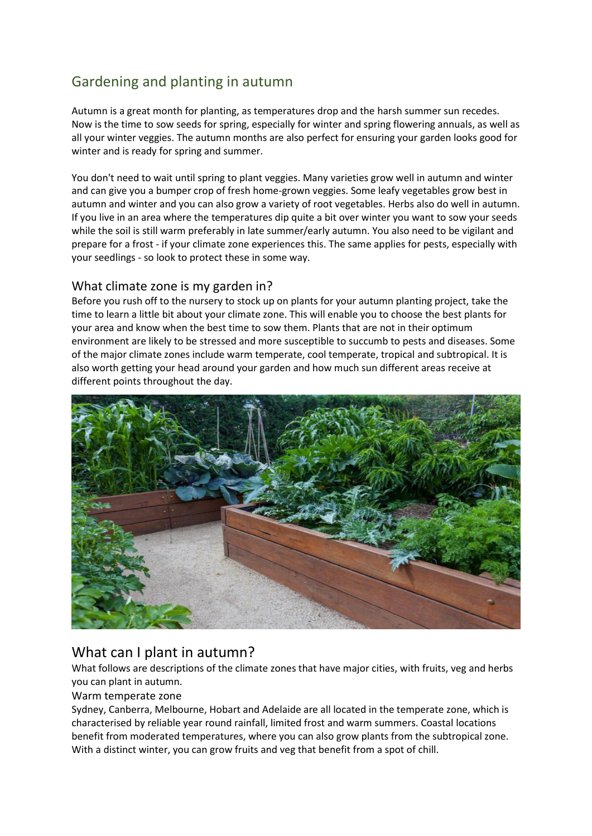# Gardening and planting in autumn

Autumn is a great month for planting, as temperatures drop and the harsh summer sun recedes. Now is the time to sow seeds for spring, especially for winter and spring flowering annuals, as well as all your winter veggies. The autumn months are also perfect for ensuring your garden looks good for winter and is ready for spring and summer.

You don't need to wait until spring to plant veggies. Many varieties grow well in autumn and winter and can give you a bumper crop of fresh home-grown veggies. Some leafy vegetables grow best in autumn and winter and you can also grow a variety of root vegetables. Herbs also do well in autumn. If you live in an area where the temperatures dip quite a bit over winter you want to sow your seeds while the soil is still warm preferably in late summer/early autumn. You also need to be vigilant and prepare for a frost - if your climate zone experiences this. The same applies for pests, especially with your seedlings - so look to protect these in some way.

## What climate zone is my garden in?

Before you rush off to the nursery to stock up on plants for your autumn planting project, take the time to learn a little bit about your climate zone. This will enable you to choose the best plants for your area and know when the best time to sow them. Plants that are not in their optimum environment are likely to be stressed and more susceptible to succumb to pests and diseases. Some of the major climate zones include warm temperate, cool temperate, tropical and subtropical. It is also worth getting your head around your garden and how much sun different areas receive at different points throughout the day.



## What can I plant in autumn?

What follows are descriptions of the climate zones that have major cities, with fruits, veg and herbs you can plant in autumn.

#### Warm temperate zone

Sydney, Canberra, Melbourne, Hobart and Adelaide are all located in the temperate zone, which is characterised by reliable year round rainfall, limited frost and warm summers. Coastal locations benefit from moderated temperatures, where you can also grow plants from the subtropical zone. With a distinct winter, you can grow fruits and veg that benefit from a spot of chill.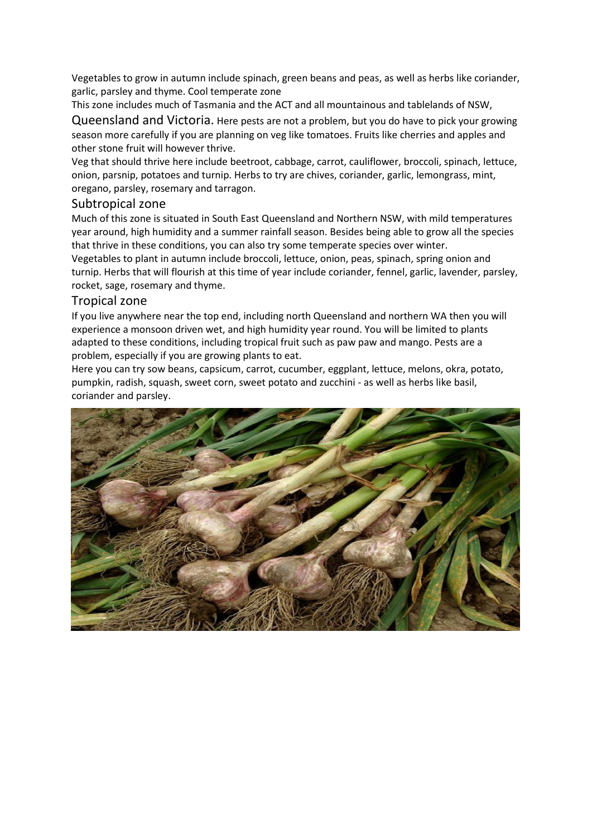Vegetables to grow in autumn include spinach, green beans and peas, as well as herbs like coriander, garlic, parsley and thyme. Cool temperate zone

This zone includes much of Tasmania and the ACT and all mountainous and tablelands of NSW,

Queensland and Victoria. Here pests are not a problem, but you do have to pick your growing season more carefully if you are planning on veg like tomatoes. Fruits like cherries and apples and other stone fruit will however thrive.

Veg that should thrive here include beetroot, cabbage, carrot, cauliflower, broccoli, spinach, lettuce, onion, parsnip, potatoes and turnip. Herbs to try are chives, coriander, garlic, lemongrass, mint, oregano, parsley, rosemary and tarragon.

#### Subtropical zone

Much of this zone is situated in South East Queensland and Northern NSW, with mild temperatures year around, high humidity and a summer rainfall season. Besides being able to grow all the species that thrive in these conditions, you can also try some temperate species over winter. Vegetables to plant in autumn include broccoli, lettuce, onion, peas, spinach, spring onion and turnip. Herbs that will flourish at this time of year include coriander, fennel, garlic, lavender, parsley, rocket, sage, rosemary and thyme.

#### Tropical zone

If you live anywhere near the top end, including north Queensland and northern WA then you will experience a monsoon driven wet, and high humidity year round. You will be limited to plants adapted to these conditions, including tropical fruit such as paw paw and mango. Pests are a problem, especially if you are growing plants to eat.

Here you can try sow beans, capsicum, carrot, cucumber, eggplant, lettuce, melons, okra, potato, pumpkin, radish, squash, sweet corn, sweet potato and zucchini - as well as herbs like basil, coriander and parsley.

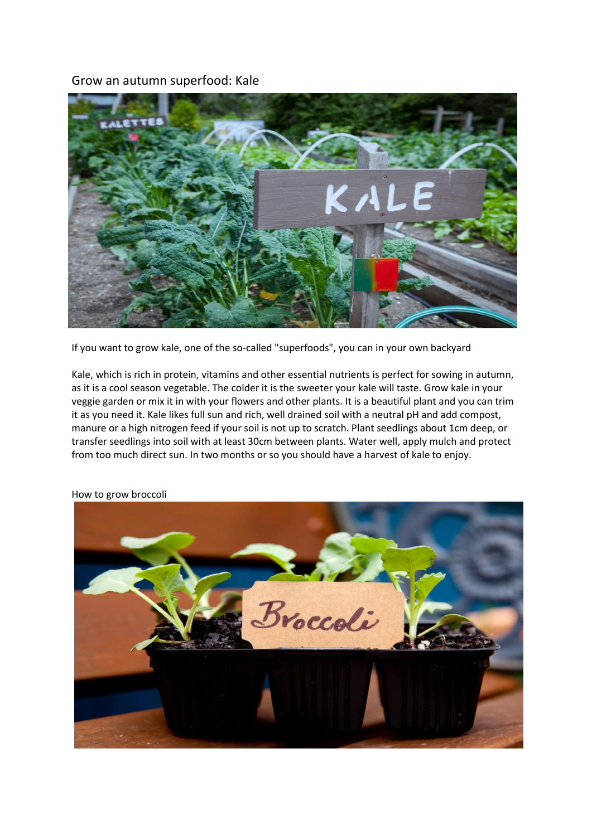### Grow an autumn superfood: Kale



If you want to grow kale, one of the so-called "superfoods", you can in your own backyard

Kale, which is rich in protein, vitamins and other essential nutrients is perfect for sowing in autumn, as it is a cool season vegetable. The colder it is the sweeter your kale will taste. Grow kale in your veggie garden or mix it in with your flowers and other plants. It is a beautiful plant and you can trim it as you need it. Kale likes full sun and rich, well drained soil with a neutral pH and add compost, manure or a high nitrogen feed if your soil is not up to scratch. Plant seedlings about 1cm deep, or transfer seedlings into soil with at least 30cm between plants. Water well, apply mulch and protect from too much direct sun. In two months or so you should have a harvest of kale to enjoy.



How to grow broccoli